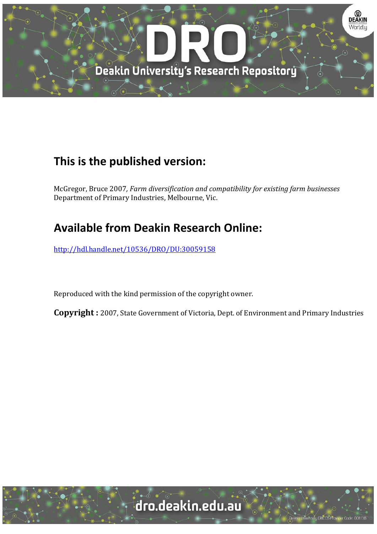

## **This is the published version:**

McGregor, Bruce 2007*, Farm diversification and compatibility for existing farm businesses* Department of Primary Industries, Melbourne, Vic.

# **Available from Deakin Research Online:**

http://hdl.handle.net/10536/DRO/DU:30059158

Reproduced with the kind permission of the copyright owner.

**Copyright** : 2007, State Government of Victoria, Dept. of Environment and Primary Industries

University CRICOS Provider Code: 00113E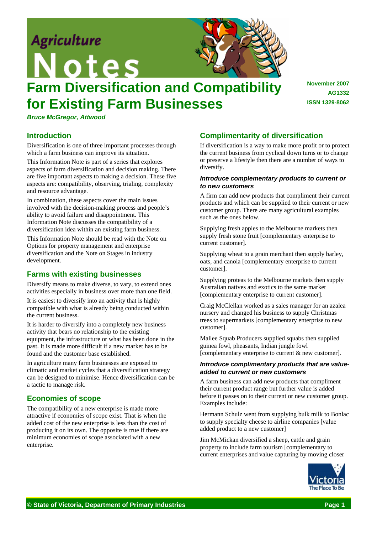

# **Farm Diversification and Compatibility for Existing Farm Businesses**

*Bruce McGregor, Attwood* 

## **Introduction**

Diversification is one of three important processes through which a farm business can improve its situation.

This Information Note is part of a series that explores aspects of farm diversification and decision making. There are five important aspects to making a decision. These five aspects are: compatibility, observing, trialing, complexity and resource advantage.

In combination, these aspects cover the main issues involved with the decision-making process and people's ability to avoid failure and disappointment. This Information Note discusses the compatibility of a diversification idea within an existing farm business.

This Information Note should be read with the Note on Options for property management and enterprise diversification and the Note on Stages in industry development.

## **Farms with existing businesses**

Diversify means to make diverse, to vary, to extend ones activities especially in business over more than one field.

It is easiest to diversify into an activity that is highly compatible with what is already being conducted within the current business.

It is harder to diversify into a completely new business activity that bears no relationship to the existing equipment, the infrastructure or what has been done in the past. It is made more difficult if a new market has to be found and the customer base established.

In agriculture many farm businesses are exposed to climatic and market cycles that a diversification strategy can be designed to minimise. Hence diversification can be a tactic to manage risk.

## **Economies of scope**

The compatibility of a new enterprise is made more attractive if economies of scope exist. That is when the added cost of the new enterprise is less than the cost of producing it on its own. The opposite is true if there are minimum economies of scope associated with a new enterprise.

## **Complimentarity of diversification**

If diversification is a way to make more profit or to protect the current business from cyclical down turns or to change or preserve a lifestyle then there are a number of ways to diversify.

**November 2007** 

**ISSN 1329-8062** 

**AG1332** 

#### *Introduce complementary products to current or to new customers*

A firm can add new products that compliment their current products and which can be supplied to their current or new customer group. There are many agricultural examples such as the ones below.

Supplying fresh apples to the Melbourne markets then supply fresh stone fruit [complementary enterprise to current customer].

Supplying wheat to a grain merchant then supply barley, oats, and canola [complementary enterprise to current customer].

Supplying proteas to the Melbourne markets then supply Australian natives and exotics to the same market [complementary enterprise to current customer].

Craig McClellan worked as a sales manager for an azalea nursery and changed his business to supply Christmas trees to supermarkets [complementary enterprise to new customer].

Mallee Squab Producers supplied squabs then supplied guinea fowl, pheasants, Indian jungle fowl [complementary enterprise to current & new customer].

#### *Introduce complimentary products that are valueadded to current or new customers*

A farm business can add new products that compliment their current product range but further value is added before it passes on to their current or new customer group. Examples include:

Hermann Schulz went from supplying bulk milk to Bonlac to supply specialty cheese to airline companies [value added product to a new customer]

Jim McMickan diversified a sheep, cattle and grain property to include farm tourism [complementary to current enterprises and value capturing by moving closer